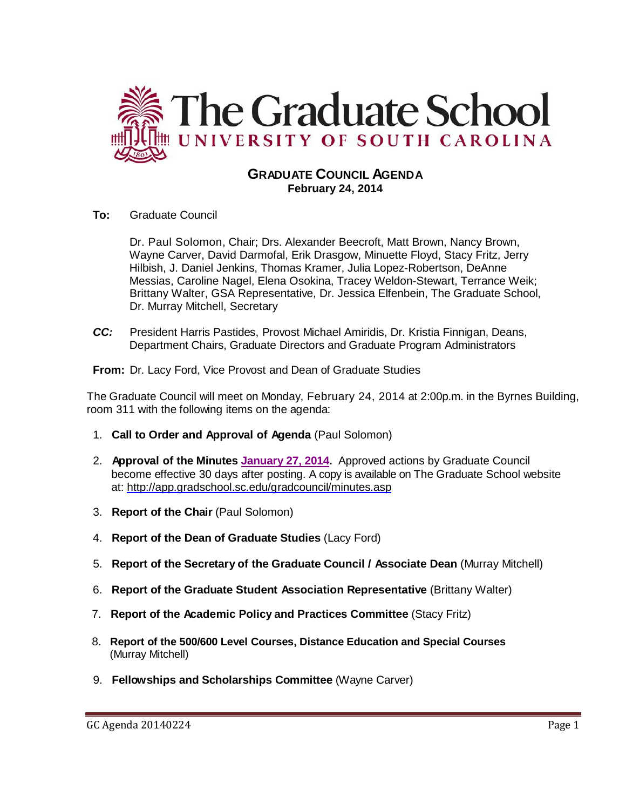

# **GRADUATE COUNCIL AGENDA February 24, 2014**

**To:** Graduate Council

Dr. Paul Solomon, Chair; Drs. Alexander Beecroft, Matt Brown, Nancy Brown, Wayne Carver, David Darmofal, Erik Drasgow, Minuette Floyd, Stacy Fritz, Jerry Hilbish, J. Daniel Jenkins, Thomas Kramer, Julia Lopez-Robertson, DeAnne Messias, Caroline Nagel, Elena Osokina, Tracey Weldon-Stewart, Terrance Weik; Brittany Walter, GSA Representative, Dr. Jessica Elfenbein, The Graduate School, Dr. Murray Mitchell, Secretary

*CC:* President Harris Pastides, Provost Michael Amiridis, Dr. Kristia Finnigan, Deans, Department Chairs, Graduate Directors and Graduate Program Administrators

**From:** Dr. Lacy Ford, Vice Provost and Dean of Graduate Studies

The Graduate Council will meet on Monday, February 24, 2014 at 2:00p.m. in the Byrnes Building, room 311 with the following items on the agenda:

- 1. **Call to Order and Approval of Agenda** (Paul Solomon)
- 2. **Approval of the Minutes [January 27, 2014.](http://gradschool.sc.edu/facstaff/gradcouncil/2013/GC%20Minutes%201%2027%2014%20MMM%20.pdf)** Approved actions by Graduate Council become effective 30 days after posting. A copy is available on The Graduate School website at:<http://app.gradschool.sc.edu/gradcouncil/minutes.asp>
- 3. **Report of the Chair** (Paul Solomon)
- 4. **Report of the Dean of Graduate Studies** (Lacy Ford)
- 5. **Report of the Secretary of the Graduate Council / Associate Dean** (Murray Mitchell)
- 6. **Report of the Graduate Student Association Representative** (Brittany Walter)
- 7. **Report of the Academic Policy and Practices Committee** (Stacy Fritz)
- 8. **Report of the 500/600 Level Courses, Distance Education and Special Courses** (Murray Mitchell)
- 9. **Fellowships and Scholarships Committee** (Wayne Carver)